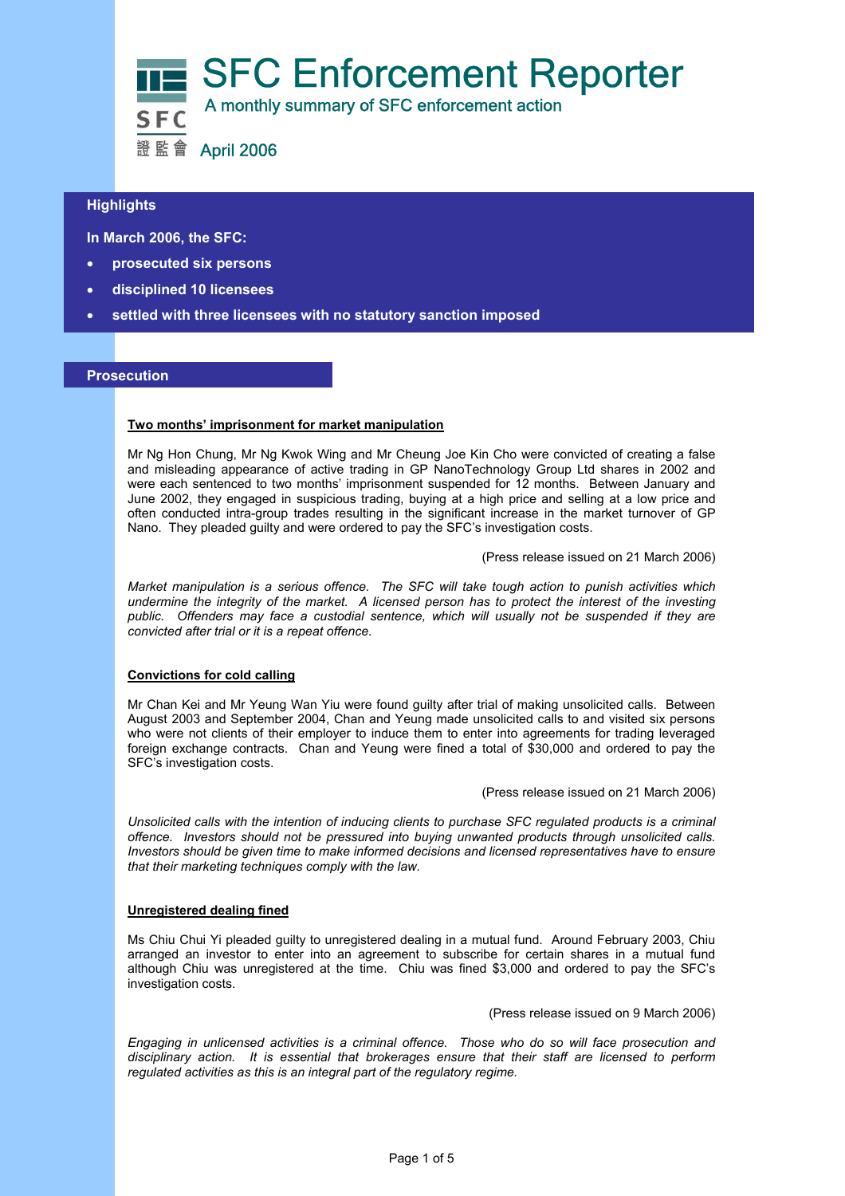

# $\overline{a}$ **Highlights**

 **In March 2006, the SFC:** 

- **prosecuted six persons**
- **disciplined 10 licensees**
- **settled with three licensees with no statutory sanction imposed**

### **Prosecution**

#### **Two months' imprisonment for market manipulation**

Mr Ng Hon Chung, Mr Ng Kwok Wing and Mr Cheung Joe Kin Cho were convicted of creating a false and misleading appearance of active trading in GP NanoTechnology Group Ltd shares in 2002 and were each sentenced to two months' imprisonment suspended for 12 months. Between January and June 2002, they engaged in suspicious trading, buying at a high price and selling at a low price and often conducted intra-group trades resulting in the significant increase in the market turnover of GP Nano. They pleaded guilty and were ordered to pay the SFC's investigation costs.

(Press release issued on 21 March 2006)

*Market manipulation is a serious offence. The SFC will take tough action to punish activities which undermine the integrity of the market. A licensed person has to protect the interest of the investing*  public. Offenders may face a custodial sentence, which will usually not be suspended if they are *convicted after trial or it is a repeat offence.* 

## **Convictions for cold calling**

Mr Chan Kei and Mr Yeung Wan Yiu were found guilty after trial of making unsolicited calls. Between August 2003 and September 2004, Chan and Yeung made unsolicited calls to and visited six persons who were not clients of their employer to induce them to enter into agreements for trading leveraged foreign exchange contracts. Chan and Yeung were fined a total of \$30,000 and ordered to pay the SFC's investigation costs.

#### (Press release issued on 21 March 2006)

*Unsolicited calls with the intention of inducing clients to purchase SFC regulated products is a criminal offence. Investors should not be pressured into buying unwanted products through unsolicited calls. Investors should be given time to make informed decisions and licensed representatives have to ensure that their marketing techniques comply with the law.* 

#### **Unregistered dealing fined**

Ms Chiu Chui Yi pleaded guilty to unregistered dealing in a mutual fund. Around February 2003, Chiu arranged an investor to enter into an agreement to subscribe for certain shares in a mutual fund although Chiu was unregistered at the time. Chiu was fined \$3,000 and ordered to pay the SFC's investigation costs.

(Press release issued on 9 March 2006)

*Engaging in unlicensed activities is a criminal offence. Those who do so will face prosecution and disciplinary action. It is essential that brokerages ensure that their staff are licensed to perform regulated activities as this is an integral part of the regulatory regime.*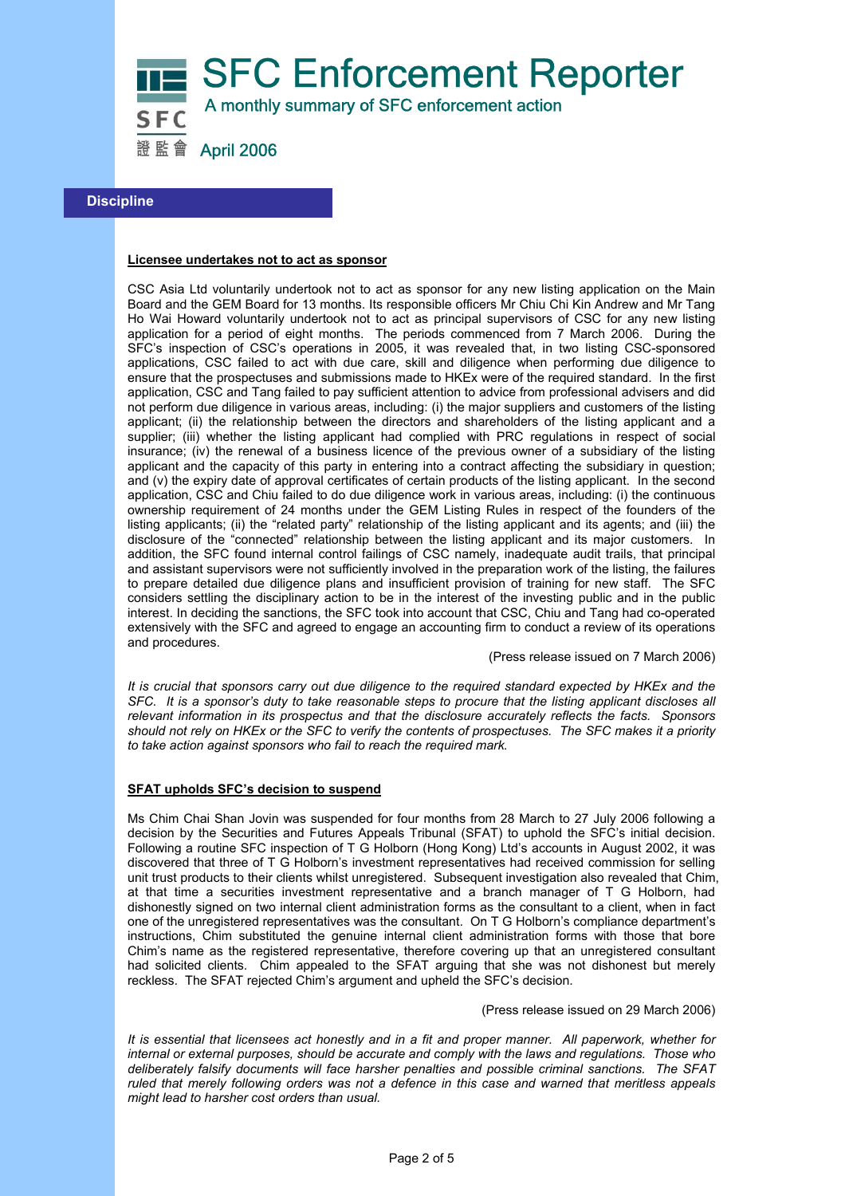SFC Enforcement Reporter

A monthly summary of SFC enforcement action

證監會 April 2006

# **Discipline**

#### **Licensee undertakes not to act as sponsor**

CSC Asia Ltd voluntarily undertook not to act as sponsor for any new listing application on the Main Board and the GEM Board for 13 months. Its responsible officers Mr Chiu Chi Kin Andrew and Mr Tang Ho Wai Howard voluntarily undertook not to act as principal supervisors of CSC for any new listing application for a period of eight months. The periods commenced from 7 March 2006. During the SFC's inspection of CSC's operations in 2005, it was revealed that, in two listing CSC-sponsored applications, CSC failed to act with due care, skill and diligence when performing due diligence to ensure that the prospectuses and submissions made to HKEx were of the required standard. In the first application, CSC and Tang failed to pay sufficient attention to advice from professional advisers and did not perform due diligence in various areas, including: (i) the major suppliers and customers of the listing applicant; (ii) the relationship between the directors and shareholders of the listing applicant and a supplier; (iii) whether the listing applicant had complied with PRC regulations in respect of social insurance; (iv) the renewal of a business licence of the previous owner of a subsidiary of the listing applicant and the capacity of this party in entering into a contract affecting the subsidiary in question; and (v) the expiry date of approval certificates of certain products of the listing applicant. In the second application, CSC and Chiu failed to do due diligence work in various areas, including: (i) the continuous ownership requirement of 24 months under the GEM Listing Rules in respect of the founders of the listing applicants; (ii) the "related party" relationship of the listing applicant and its agents; and (iii) the disclosure of the "connected" relationship between the listing applicant and its major customers. In addition, the SFC found internal control failings of CSC namely, inadequate audit trails, that principal and assistant supervisors were not sufficiently involved in the preparation work of the listing, the failures to prepare detailed due diligence plans and insufficient provision of training for new staff. The SFC considers settling the disciplinary action to be in the interest of the investing public and in the public interest. In deciding the sanctions, the SFC took into account that CSC, Chiu and Tang had co-operated extensively with the SFC and agreed to engage an accounting firm to conduct a review of its operations and procedures.

(Press release issued on 7 March 2006)

*It is crucial that sponsors carry out due diligence to the required standard expected by HKEx and the SFC. It is a sponsor's duty to take reasonable steps to procure that the listing applicant discloses all relevant information in its prospectus and that the disclosure accurately reflects the facts. Sponsors should not rely on HKEx or the SFC to verify the contents of prospectuses. The SFC makes it a priority to take action against sponsors who fail to reach the required mark.* 

#### **SFAT upholds SFC's decision to suspend**

Ms Chim Chai Shan Jovin was suspended for four months from 28 March to 27 July 2006 following a decision by the Securities and Futures Appeals Tribunal (SFAT) to uphold the SFC's initial decision. Following a routine SFC inspection of T G Holborn (Hong Kong) Ltd's accounts in August 2002, it was discovered that three of T G Holborn's investment representatives had received commission for selling unit trust products to their clients whilst unregistered. Subsequent investigation also revealed that Chim, at that time a securities investment representative and a branch manager of T G Holborn, had dishonestly signed on two internal client administration forms as the consultant to a client, when in fact one of the unregistered representatives was the consultant. On T G Holborn's compliance department's instructions, Chim substituted the genuine internal client administration forms with those that bore Chim's name as the registered representative, therefore covering up that an unregistered consultant had solicited clients. Chim appealed to the SFAT arguing that she was not dishonest but merely reckless. The SFAT rejected Chim's argument and upheld the SFC's decision.

(Press release issued on 29 March 2006)

*It is essential that licensees act honestly and in a fit and proper manner. All paperwork, whether for internal or external purposes, should be accurate and comply with the laws and regulations. Those who deliberately falsify documents will face harsher penalties and possible criminal sanctions. The SFAT ruled that merely following orders was not a defence in this case and warned that meritless appeals might lead to harsher cost orders than usual.*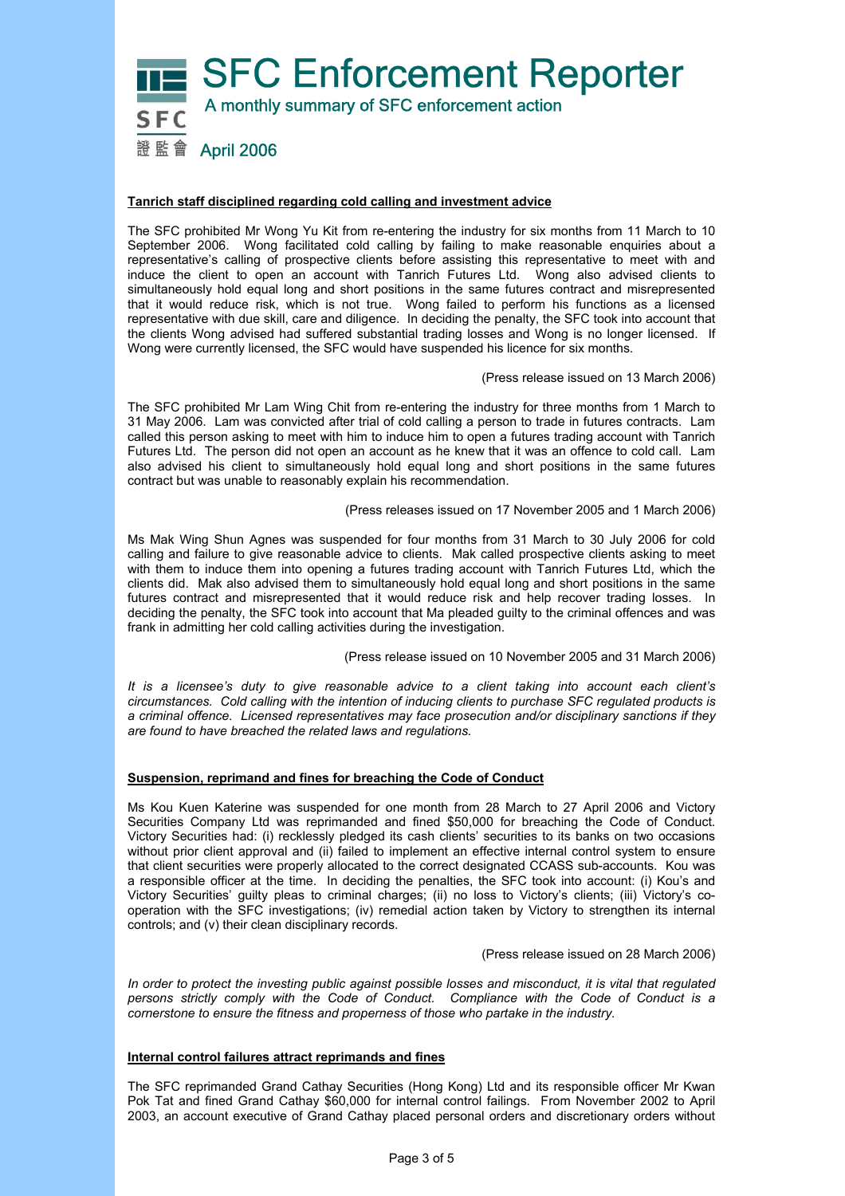

## **Tanrich staff disciplined regarding cold calling and investment advice**

The SFC prohibited Mr Wong Yu Kit from re-entering the industry for six months from 11 March to 10 September 2006. Wong facilitated cold calling by failing to make reasonable enquiries about a representative's calling of prospective clients before assisting this representative to meet with and induce the client to open an account with Tanrich Futures Ltd. Wong also advised clients to simultaneously hold equal long and short positions in the same futures contract and misrepresented that it would reduce risk, which is not true. Wong failed to perform his functions as a licensed representative with due skill, care and diligence. In deciding the penalty, the SFC took into account that the clients Wong advised had suffered substantial trading losses and Wong is no longer licensed. If Wong were currently licensed, the SFC would have suspended his licence for six months.

(Press release issued on 13 March 2006)

The SFC prohibited Mr Lam Wing Chit from re-entering the industry for three months from 1 March to 31 May 2006. Lam was convicted after trial of cold calling a person to trade in futures contracts. Lam called this person asking to meet with him to induce him to open a futures trading account with Tanrich Futures Ltd. The person did not open an account as he knew that it was an offence to cold call. Lam also advised his client to simultaneously hold equal long and short positions in the same futures contract but was unable to reasonably explain his recommendation.

(Press releases issued on 17 November 2005 and 1 March 2006)

Ms Mak Wing Shun Agnes was suspended for four months from 31 March to 30 July 2006 for cold calling and failure to give reasonable advice to clients. Mak called prospective clients asking to meet with them to induce them into opening a futures trading account with Tanrich Futures Ltd, which the clients did. Mak also advised them to simultaneously hold equal long and short positions in the same futures contract and misrepresented that it would reduce risk and help recover trading losses. In deciding the penalty, the SFC took into account that Ma pleaded guilty to the criminal offences and was frank in admitting her cold calling activities during the investigation.

(Press release issued on 10 November 2005 and 31 March 2006)

*It is a licensee's duty to give reasonable advice to a client taking into account each client's circumstances. Cold calling with the intention of inducing clients to purchase SFC regulated products is a criminal offence. Licensed representatives may face prosecution and/or disciplinary sanctions if they are found to have breached the related laws and regulations.* 

#### **Suspension, reprimand and fines for breaching the Code of Conduct**

Ms Kou Kuen Katerine was suspended for one month from 28 March to 27 April 2006 and Victory Securities Company Ltd was reprimanded and fined \$50,000 for breaching the Code of Conduct. Victory Securities had: (i) recklessly pledged its cash clients' securities to its banks on two occasions without prior client approval and (ii) failed to implement an effective internal control system to ensure that client securities were properly allocated to the correct designated CCASS sub-accounts. Kou was a responsible officer at the time. In deciding the penalties, the SFC took into account: (i) Kou's and Victory Securities' guilty pleas to criminal charges; (ii) no loss to Victory's clients; (iii) Victory's cooperation with the SFC investigations; (iv) remedial action taken by Victory to strengthen its internal controls; and (v) their clean disciplinary records.

(Press release issued on 28 March 2006)

*In order to protect the investing public against possible losses and misconduct, it is vital that regulated persons strictly comply with the Code of Conduct. Compliance with the Code of Conduct is a cornerstone to ensure the fitness and properness of those who partake in the industry.* 

#### **Internal control failures attract reprimands and fines**

The SFC reprimanded Grand Cathay Securities (Hong Kong) Ltd and its responsible officer Mr Kwan Pok Tat and fined Grand Cathay \$60,000 for internal control failings. From November 2002 to April 2003, an account executive of Grand Cathay placed personal orders and discretionary orders without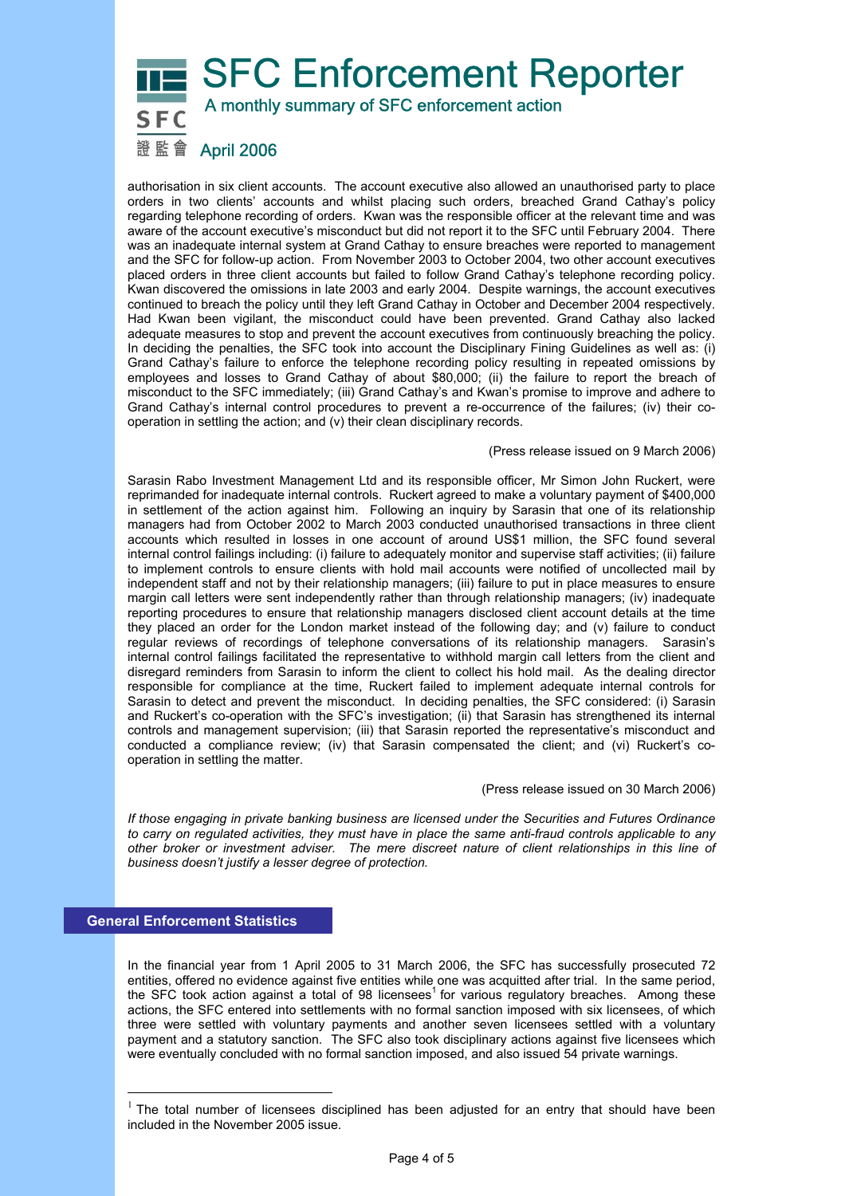# **SFC Enforcement Reporter**  A monthly summary of SFC enforcement action 證監會 April 2006

authorisation in six client accounts. The account executive also allowed an unauthorised party to place orders in two clients' accounts and whilst placing such orders, breached Grand Cathay's policy regarding telephone recording of orders. Kwan was the responsible officer at the relevant time and was aware of the account executive's misconduct but did not report it to the SFC until February 2004. There was an inadequate internal system at Grand Cathay to ensure breaches were reported to management and the SFC for follow-up action. From November 2003 to October 2004, two other account executives placed orders in three client accounts but failed to follow Grand Cathay's telephone recording policy. Kwan discovered the omissions in late 2003 and early 2004. Despite warnings, the account executives continued to breach the policy until they left Grand Cathay in October and December 2004 respectively. Had Kwan been vigilant, the misconduct could have been prevented. Grand Cathay also lacked adequate measures to stop and prevent the account executives from continuously breaching the policy. In deciding the penalties, the SFC took into account the Disciplinary Fining Guidelines as well as: (i) Grand Cathay's failure to enforce the telephone recording policy resulting in repeated omissions by employees and losses to Grand Cathay of about \$80,000; (ii) the failure to report the breach of misconduct to the SFC immediately; (iii) Grand Cathay's and Kwan's promise to improve and adhere to Grand Cathay's internal control procedures to prevent a re-occurrence of the failures; (iv) their cooperation in settling the action; and (v) their clean disciplinary records.

#### (Press release issued on 9 March 2006)

Sarasin Rabo Investment Management Ltd and its responsible officer, Mr Simon John Ruckert, were reprimanded for inadequate internal controls. Ruckert agreed to make a voluntary payment of \$400,000 in settlement of the action against him. Following an inquiry by Sarasin that one of its relationship managers had from October 2002 to March 2003 conducted unauthorised transactions in three client accounts which resulted in losses in one account of around US\$1 million, the SFC found several internal control failings including: (i) failure to adequately monitor and supervise staff activities; (ii) failure to implement controls to ensure clients with hold mail accounts were notified of uncollected mail by independent staff and not by their relationship managers; (iii) failure to put in place measures to ensure margin call letters were sent independently rather than through relationship managers; (iv) inadequate reporting procedures to ensure that relationship managers disclosed client account details at the time they placed an order for the London market instead of the following day; and (v) failure to conduct regular reviews of recordings of telephone conversations of its relationship managers. Sarasin's internal control failings facilitated the representative to withhold margin call letters from the client and disregard reminders from Sarasin to inform the client to collect his hold mail. As the dealing director responsible for compliance at the time, Ruckert failed to implement adequate internal controls for Sarasin to detect and prevent the misconduct. In deciding penalties, the SFC considered: (i) Sarasin and Ruckert's co-operation with the SFC's investigation; (ii) that Sarasin has strengthened its internal controls and management supervision; (iii) that Sarasin reported the representative's misconduct and conducted a compliance review; (iv) that Sarasin compensated the client; and (vi) Ruckert's cooperation in settling the matter.

#### (Press release issued on 30 March 2006)

*If those engaging in private banking business are licensed under the Securities and Futures Ordinance to carry on regulated activities, they must have in place the same anti-fraud controls applicable to any other broker or investment adviser. The mere discreet nature of client relationships in this line of business doesn't justify a lesser degree of protection.* 

#### **General Enforcement Statistics**

 $\overline{a}$ 

In the financial year from 1 April 2005 to 31 March 2006, the SFC has successfully prosecuted 72 entities, offered no evidence against five entities while one was acquitted after trial. In the same period, the SFC took action against a total of 98 licensees<sup>1</sup> for various regulatory breaches. Among these actions, the SFC entered into settlements with no formal sanction imposed with six licensees, of which three were settled with voluntary payments and another seven licensees settled with a voluntary payment and a statutory sanction. The SFC also took disciplinary actions against five licensees which were eventually concluded with no formal sanction imposed, and also issued 54 private warnings.

 $1$  The total number of licensees disciplined has been adjusted for an entry that should have been included in the November 2005 issue.